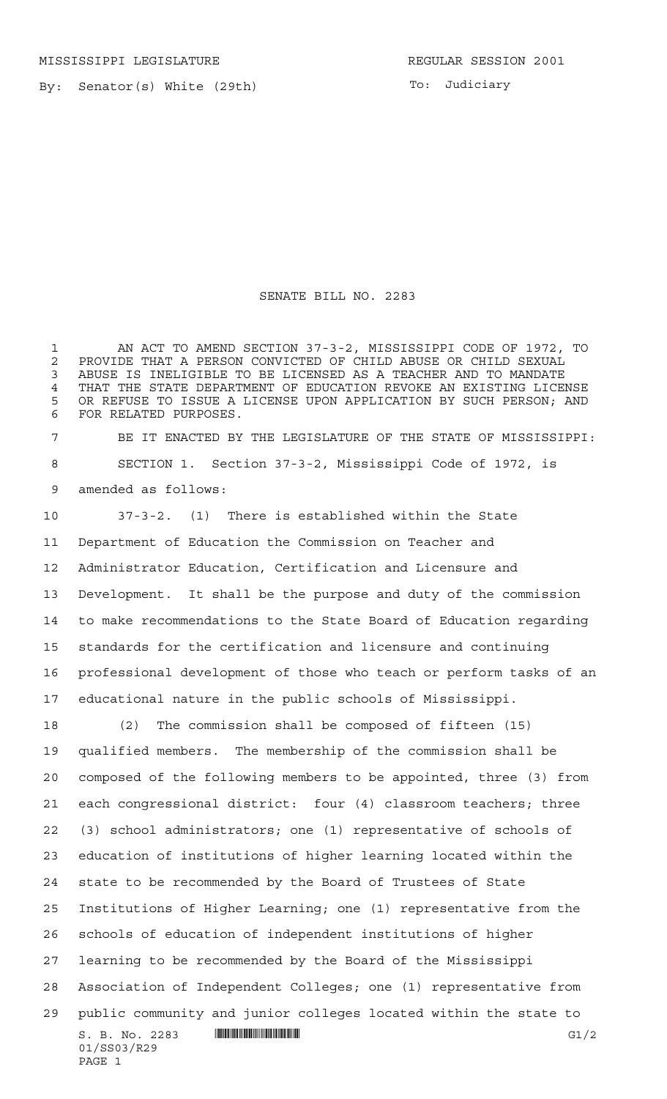MISSISSIPPI LEGISLATURE **REGULAR SESSION 2001** 

By: Senator(s) White (29th)

To: Judiciary

## SENATE BILL NO. 2283

 AN ACT TO AMEND SECTION 37-3-2, MISSISSIPPI CODE OF 1972, TO 2 PROVIDE THAT A PERSON CONVICTED OF CHILD ABUSE OR CHILD SEXUAL<br>3 ABUSE IS INELIGIBLE TO BE LICENSED AS A TEACHER AND TO MANDATE ABUSE IS INELIGIBLE TO BE LICENSED AS A TEACHER AND TO MANDATE 4 THAT THE STATE DEPARTMENT OF EDUCATION REVOKE AN EXISTING LICENSE<br>5 OR REFUSE TO ISSUE A LICENSE UPON APPLICATION BY SUCH PERSON: AND OR REFUSE TO ISSUE A LICENSE UPON APPLICATION BY SUCH PERSON; AND FOR RELATED PURPOSES.

 BE IT ENACTED BY THE LEGISLATURE OF THE STATE OF MISSISSIPPI: SECTION 1. Section 37-3-2, Mississippi Code of 1972, is amended as follows:

 37-3-2. (1) There is established within the State Department of Education the Commission on Teacher and Administrator Education, Certification and Licensure and Development. It shall be the purpose and duty of the commission to make recommendations to the State Board of Education regarding standards for the certification and licensure and continuing professional development of those who teach or perform tasks of an educational nature in the public schools of Mississippi.

 $S. B. No. 2283$  **INNIFICAL EXAMPLE EXAMPLE EXAMPLE EXAMPLE EXAMPLE EXAMPLE EXAMPLE EXAMPLE EXAMPLE EXAMPLE EXAMPLE EXAMPLE EXAMPLE EXAMPLE EXAMPLE EXAMPLE EXAMPLE EXAMPLE EXAMPLE EXAMPLE EXAMPLE EXAMPLE EXAMPLE EXAMPLE EXAM** 01/SS03/R29 PAGE 1 (2) The commission shall be composed of fifteen (15) qualified members. The membership of the commission shall be composed of the following members to be appointed, three (3) from each congressional district: four (4) classroom teachers; three (3) school administrators; one (1) representative of schools of education of institutions of higher learning located within the state to be recommended by the Board of Trustees of State Institutions of Higher Learning; one (1) representative from the schools of education of independent institutions of higher learning to be recommended by the Board of the Mississippi Association of Independent Colleges; one (1) representative from public community and junior colleges located within the state to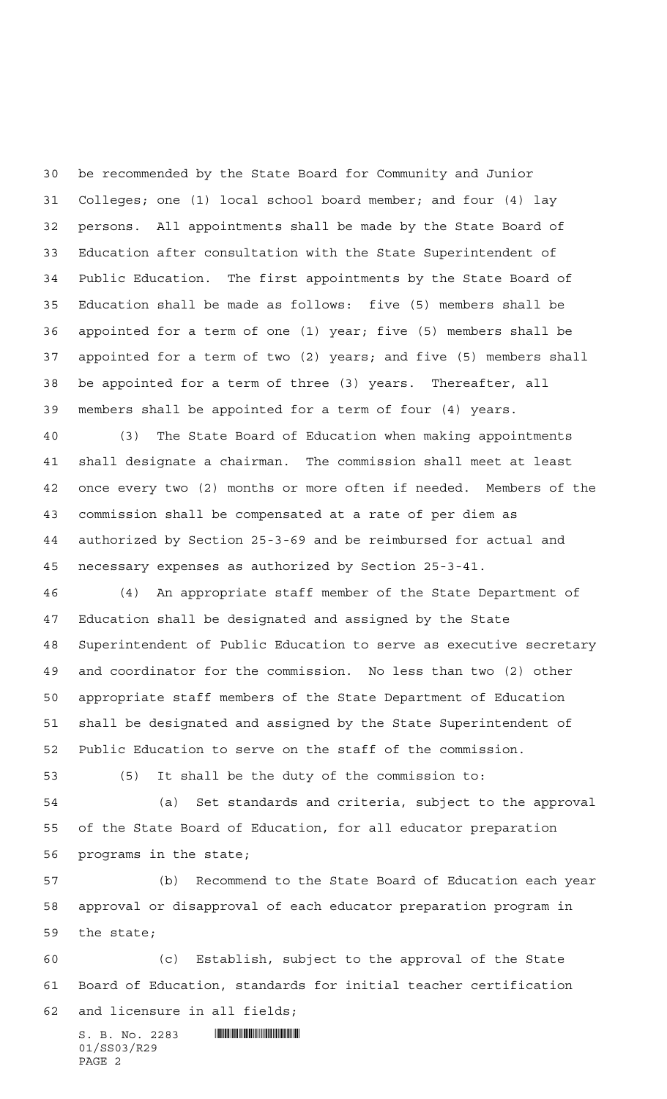be recommended by the State Board for Community and Junior Colleges; one (1) local school board member; and four (4) lay persons. All appointments shall be made by the State Board of Education after consultation with the State Superintendent of Public Education. The first appointments by the State Board of Education shall be made as follows: five (5) members shall be appointed for a term of one (1) year; five (5) members shall be appointed for a term of two (2) years; and five (5) members shall be appointed for a term of three (3) years. Thereafter, all members shall be appointed for a term of four (4) years.

 (3) The State Board of Education when making appointments shall designate a chairman. The commission shall meet at least once every two (2) months or more often if needed. Members of the commission shall be compensated at a rate of per diem as authorized by Section 25-3-69 and be reimbursed for actual and necessary expenses as authorized by Section 25-3-41.

 (4) An appropriate staff member of the State Department of Education shall be designated and assigned by the State Superintendent of Public Education to serve as executive secretary and coordinator for the commission. No less than two (2) other appropriate staff members of the State Department of Education shall be designated and assigned by the State Superintendent of Public Education to serve on the staff of the commission.

(5) It shall be the duty of the commission to:

 (a) Set standards and criteria, subject to the approval of the State Board of Education, for all educator preparation programs in the state;

 (b) Recommend to the State Board of Education each year approval or disapproval of each educator preparation program in the state;

 (c) Establish, subject to the approval of the State Board of Education, standards for initial teacher certification and licensure in all fields;

 $S. B. No. 2283$  . The set of  $S. B. N_{\odot}$  ,  $2283$ 01/SS03/R29 PAGE 2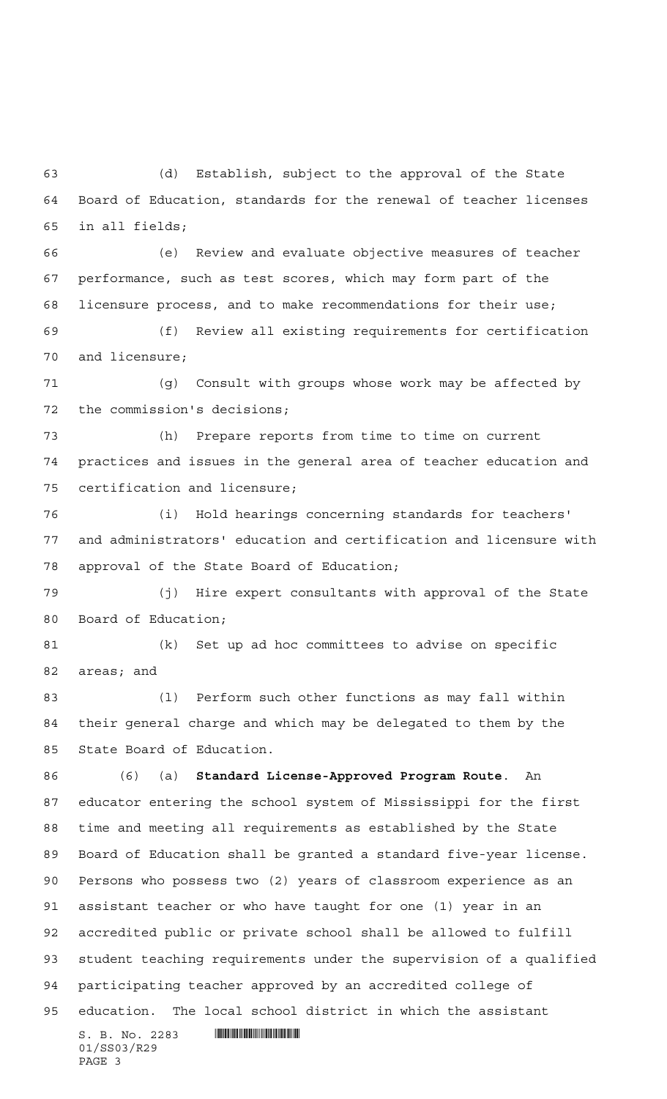(d) Establish, subject to the approval of the State Board of Education, standards for the renewal of teacher licenses in all fields;

 (e) Review and evaluate objective measures of teacher performance, such as test scores, which may form part of the licensure process, and to make recommendations for their use;

 (f) Review all existing requirements for certification and licensure;

 (g) Consult with groups whose work may be affected by the commission's decisions;

 (h) Prepare reports from time to time on current practices and issues in the general area of teacher education and certification and licensure;

 (i) Hold hearings concerning standards for teachers' and administrators' education and certification and licensure with approval of the State Board of Education;

 (j) Hire expert consultants with approval of the State Board of Education;

 (k) Set up ad hoc committees to advise on specific areas; and

83 (1) Perform such other functions as may fall within their general charge and which may be delegated to them by the State Board of Education.

 $S. B. No. 2283$  . The set of  $S. B. N_O.$  (6) (a) **Standard License-Approved Program Route**. An educator entering the school system of Mississippi for the first time and meeting all requirements as established by the State Board of Education shall be granted a standard five-year license. Persons who possess two (2) years of classroom experience as an assistant teacher or who have taught for one (1) year in an accredited public or private school shall be allowed to fulfill student teaching requirements under the supervision of a qualified participating teacher approved by an accredited college of education. The local school district in which the assistant

01/SS03/R29 PAGE 3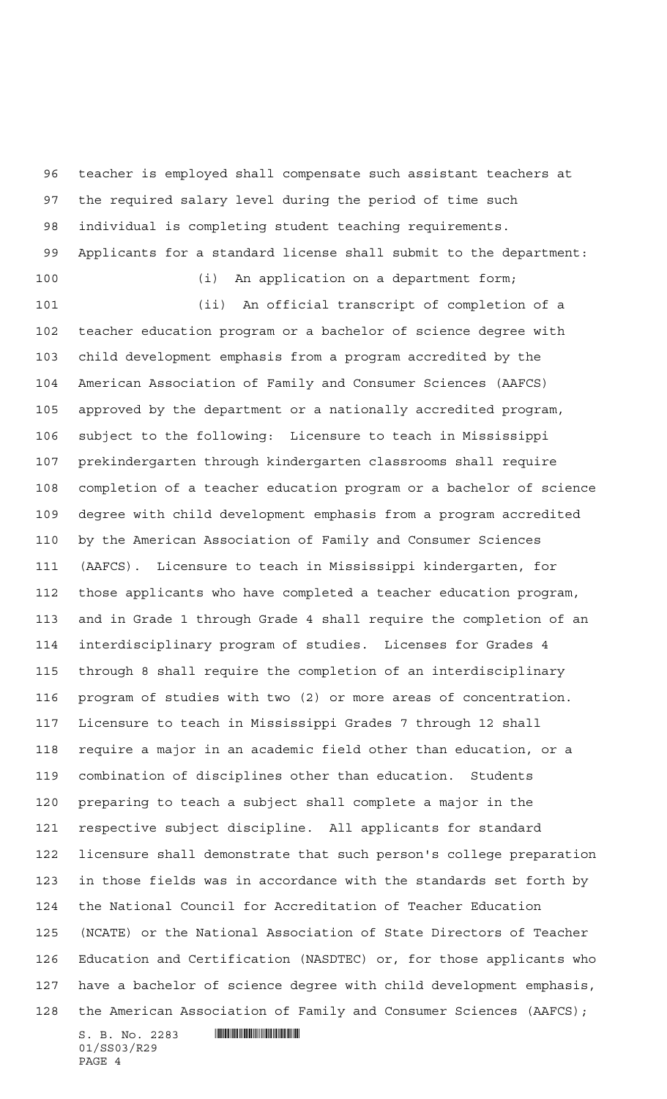the required salary level during the period of time such individual is completing student teaching requirements. Applicants for a standard license shall submit to the department: 100 (i) An application on a department form; (ii) An official transcript of completion of a teacher education program or a bachelor of science degree with child development emphasis from a program accredited by the American Association of Family and Consumer Sciences (AAFCS) approved by the department or a nationally accredited program, subject to the following: Licensure to teach in Mississippi prekindergarten through kindergarten classrooms shall require completion of a teacher education program or a bachelor of science degree with child development emphasis from a program accredited by the American Association of Family and Consumer Sciences (AAFCS). Licensure to teach in Mississippi kindergarten, for those applicants who have completed a teacher education program, and in Grade 1 through Grade 4 shall require the completion of an interdisciplinary program of studies. Licenses for Grades 4 through 8 shall require the completion of an interdisciplinary program of studies with two (2) or more areas of concentration. Licensure to teach in Mississippi Grades 7 through 12 shall require a major in an academic field other than education, or a combination of disciplines other than education. Students preparing to teach a subject shall complete a major in the respective subject discipline. All applicants for standard licensure shall demonstrate that such person's college preparation in those fields was in accordance with the standards set forth by the National Council for Accreditation of Teacher Education (NCATE) or the National Association of State Directors of Teacher Education and Certification (NASDTEC) or, for those applicants who have a bachelor of science degree with child development emphasis,

teacher is employed shall compensate such assistant teachers at

 $S. B. No. 2283$  . The set of  $S. B. N_O.$ 01/SS03/R29 PAGE 4 the American Association of Family and Consumer Sciences (AAFCS);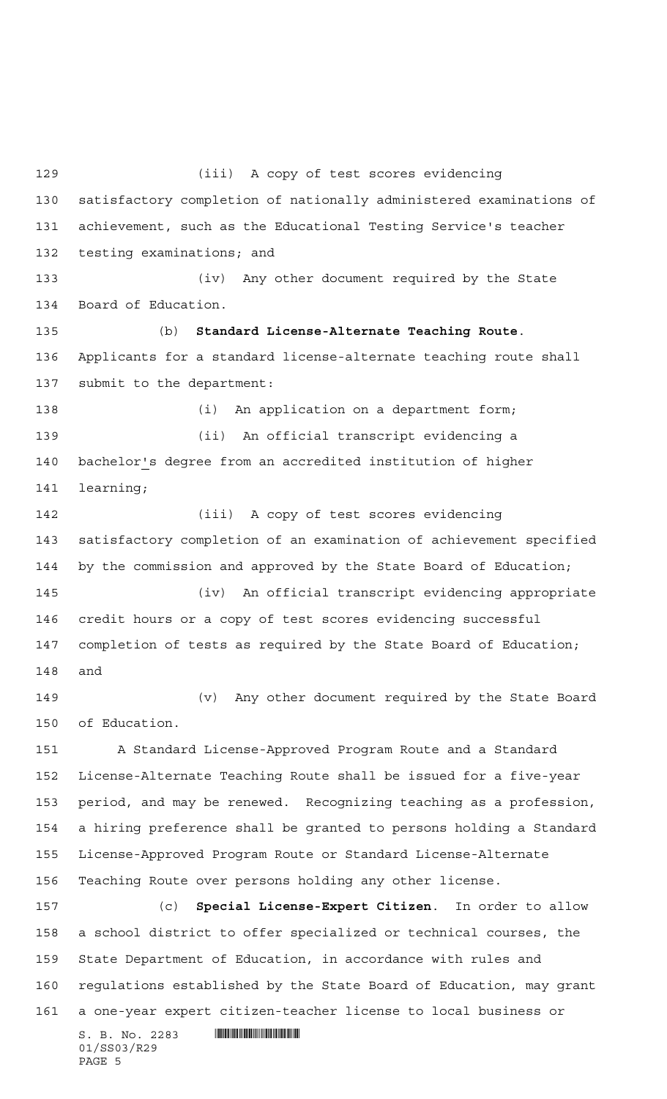$S. B. No. 2283$  . The set of  $S. B. N_O.$  (iii) A copy of test scores evidencing satisfactory completion of nationally administered examinations of achievement, such as the Educational Testing Service's teacher testing examinations; and (iv) Any other document required by the State Board of Education. (b) **Standard License-Alternate Teaching Route**. Applicants for a standard license-alternate teaching route shall submit to the department: (i) An application on a department form; (ii) An official transcript evidencing a bachelor's degree from an accredited institution of higher learning; (iii) A copy of test scores evidencing satisfactory completion of an examination of achievement specified by the commission and approved by the State Board of Education; (iv) An official transcript evidencing appropriate credit hours or a copy of test scores evidencing successful completion of tests as required by the State Board of Education; and (v) Any other document required by the State Board of Education. A Standard License-Approved Program Route and a Standard License-Alternate Teaching Route shall be issued for a five-year period, and may be renewed. Recognizing teaching as a profession, a hiring preference shall be granted to persons holding a Standard License-Approved Program Route or Standard License-Alternate Teaching Route over persons holding any other license. (c) **Special License-Expert Citizen**. In order to allow a school district to offer specialized or technical courses, the State Department of Education, in accordance with rules and regulations established by the State Board of Education, may grant a one-year expert citizen-teacher license to local business or

01/SS03/R29 PAGE 5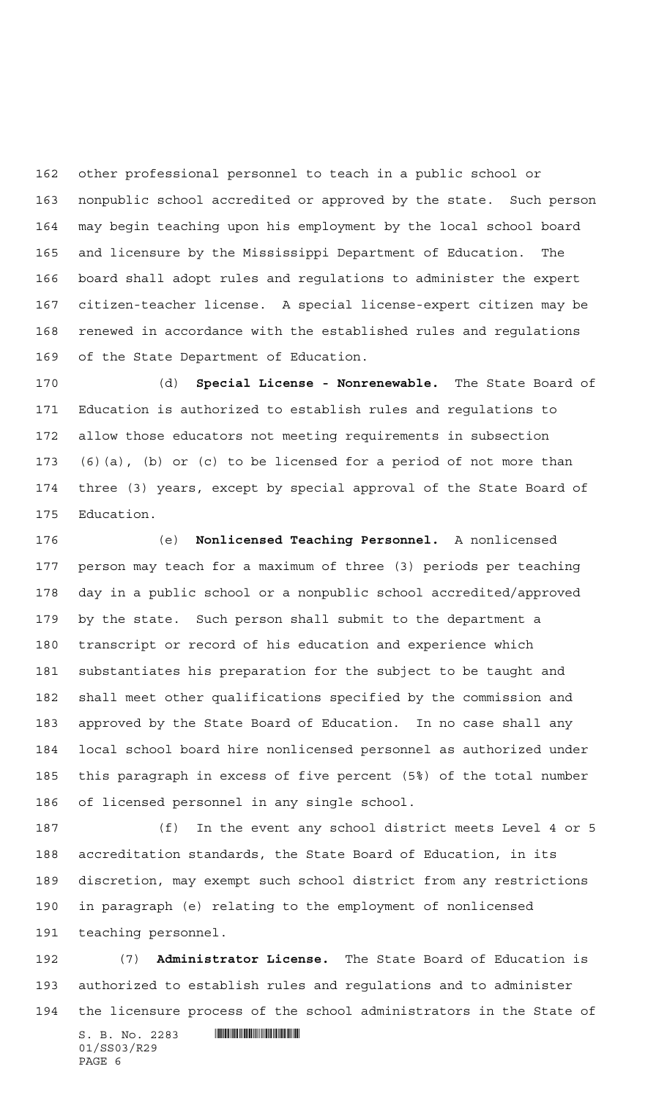other professional personnel to teach in a public school or nonpublic school accredited or approved by the state. Such person may begin teaching upon his employment by the local school board and licensure by the Mississippi Department of Education. The board shall adopt rules and regulations to administer the expert citizen-teacher license. A special license-expert citizen may be renewed in accordance with the established rules and regulations of the State Department of Education.

 (d) **Special License - Nonrenewable.** The State Board of Education is authorized to establish rules and regulations to allow those educators not meeting requirements in subsection (6)(a), (b) or (c) to be licensed for a period of not more than three (3) years, except by special approval of the State Board of Education.

 (e) **Nonlicensed Teaching Personnel.** A nonlicensed person may teach for a maximum of three (3) periods per teaching day in a public school or a nonpublic school accredited/approved by the state. Such person shall submit to the department a transcript or record of his education and experience which substantiates his preparation for the subject to be taught and shall meet other qualifications specified by the commission and approved by the State Board of Education. In no case shall any local school board hire nonlicensed personnel as authorized under this paragraph in excess of five percent (5%) of the total number of licensed personnel in any single school.

 (f) In the event any school district meets Level 4 or 5 accreditation standards, the State Board of Education, in its discretion, may exempt such school district from any restrictions in paragraph (e) relating to the employment of nonlicensed teaching personnel.

 (7) **Administrator License.** The State Board of Education is authorized to establish rules and regulations and to administer the licensure process of the school administrators in the State of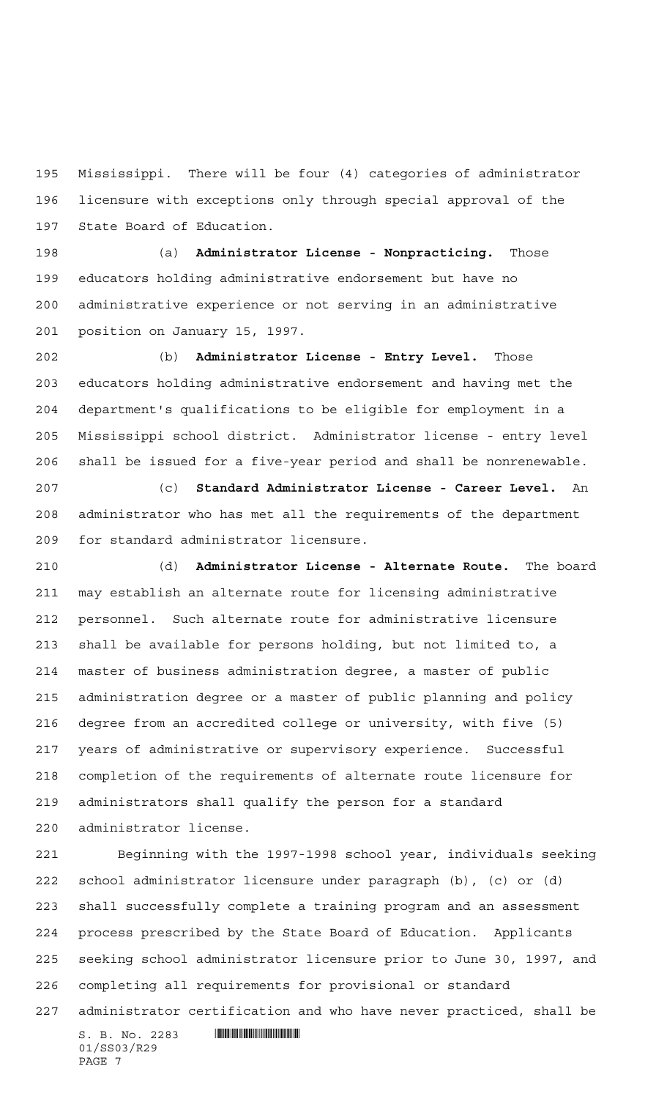Mississippi. There will be four (4) categories of administrator licensure with exceptions only through special approval of the State Board of Education.

 (a) **Administrator License - Nonpracticing.** Those educators holding administrative endorsement but have no administrative experience or not serving in an administrative position on January 15, 1997.

 (b) **Administrator License - Entry Level.** Those educators holding administrative endorsement and having met the department's qualifications to be eligible for employment in a Mississippi school district. Administrator license - entry level shall be issued for a five-year period and shall be nonrenewable.

 (c) **Standard Administrator License - Career Level.** An administrator who has met all the requirements of the department for standard administrator licensure.

 (d) **Administrator License - Alternate Route.** The board may establish an alternate route for licensing administrative personnel. Such alternate route for administrative licensure shall be available for persons holding, but not limited to, a master of business administration degree, a master of public administration degree or a master of public planning and policy degree from an accredited college or university, with five (5) years of administrative or supervisory experience. Successful completion of the requirements of alternate route licensure for administrators shall qualify the person for a standard administrator license.

 $S. B. No. 2283$  . The set of  $S. B. N_O.$  Beginning with the 1997-1998 school year, individuals seeking school administrator licensure under paragraph (b), (c) or (d) shall successfully complete a training program and an assessment process prescribed by the State Board of Education. Applicants seeking school administrator licensure prior to June 30, 1997, and completing all requirements for provisional or standard administrator certification and who have never practiced, shall be

01/SS03/R29 PAGE 7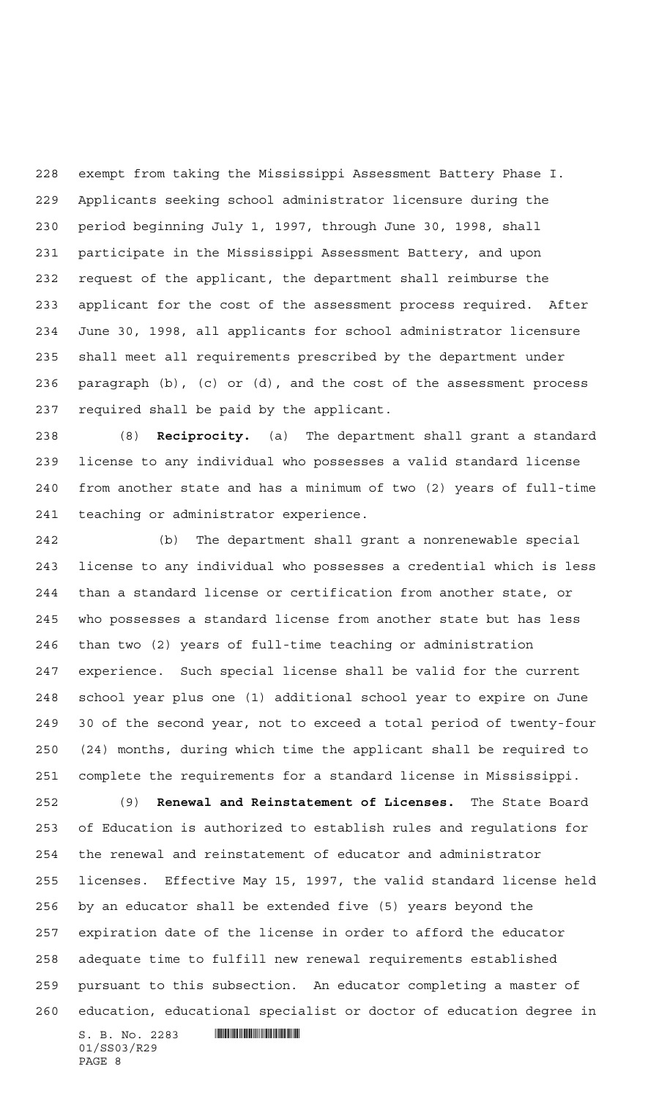exempt from taking the Mississippi Assessment Battery Phase I. Applicants seeking school administrator licensure during the period beginning July 1, 1997, through June 30, 1998, shall participate in the Mississippi Assessment Battery, and upon request of the applicant, the department shall reimburse the applicant for the cost of the assessment process required. After June 30, 1998, all applicants for school administrator licensure shall meet all requirements prescribed by the department under paragraph (b), (c) or (d), and the cost of the assessment process required shall be paid by the applicant.

 (8) **Reciprocity.** (a) The department shall grant a standard license to any individual who possesses a valid standard license from another state and has a minimum of two (2) years of full-time teaching or administrator experience.

 (b) The department shall grant a nonrenewable special license to any individual who possesses a credential which is less than a standard license or certification from another state, or who possesses a standard license from another state but has less than two (2) years of full-time teaching or administration experience. Such special license shall be valid for the current school year plus one (1) additional school year to expire on June 30 of the second year, not to exceed a total period of twenty-four (24) months, during which time the applicant shall be required to complete the requirements for a standard license in Mississippi.

 (9) **Renewal and Reinstatement of Licenses.** The State Board of Education is authorized to establish rules and regulations for the renewal and reinstatement of educator and administrator licenses. Effective May 15, 1997, the valid standard license held by an educator shall be extended five (5) years beyond the expiration date of the license in order to afford the educator adequate time to fulfill new renewal requirements established pursuant to this subsection. An educator completing a master of education, educational specialist or doctor of education degree in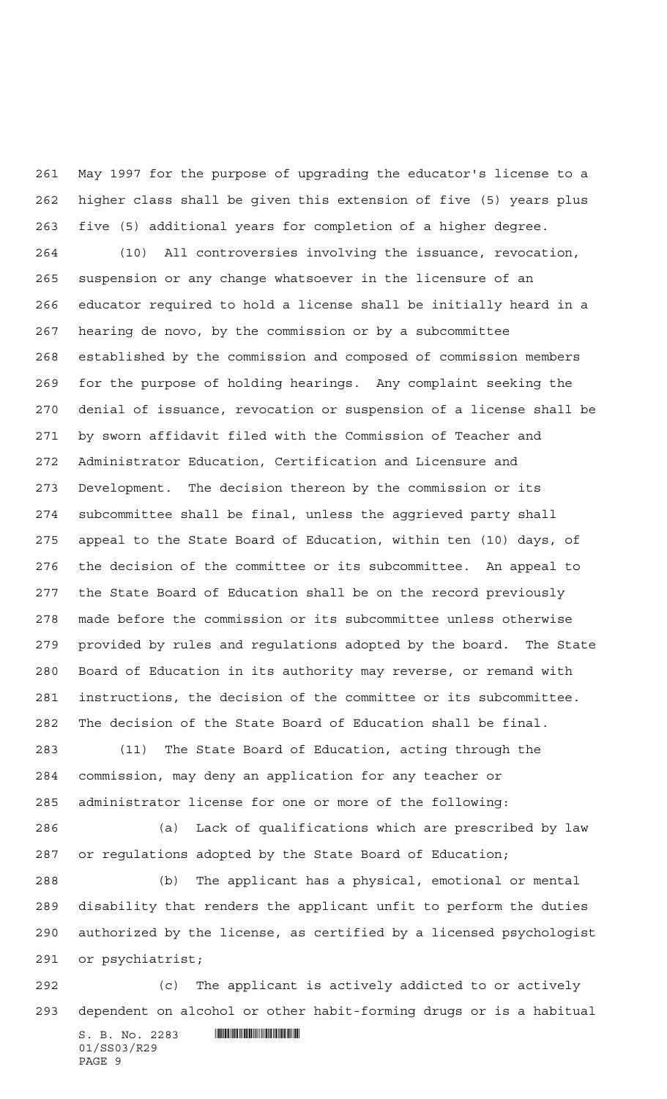May 1997 for the purpose of upgrading the educator's license to a higher class shall be given this extension of five (5) years plus five (5) additional years for completion of a higher degree.

 (10) All controversies involving the issuance, revocation, suspension or any change whatsoever in the licensure of an educator required to hold a license shall be initially heard in a hearing de novo, by the commission or by a subcommittee established by the commission and composed of commission members for the purpose of holding hearings. Any complaint seeking the denial of issuance, revocation or suspension of a license shall be by sworn affidavit filed with the Commission of Teacher and Administrator Education, Certification and Licensure and Development. The decision thereon by the commission or its subcommittee shall be final, unless the aggrieved party shall appeal to the State Board of Education, within ten (10) days, of the decision of the committee or its subcommittee. An appeal to the State Board of Education shall be on the record previously made before the commission or its subcommittee unless otherwise provided by rules and regulations adopted by the board. The State Board of Education in its authority may reverse, or remand with instructions, the decision of the committee or its subcommittee. The decision of the State Board of Education shall be final.

 (11) The State Board of Education, acting through the commission, may deny an application for any teacher or administrator license for one or more of the following:

 (a) Lack of qualifications which are prescribed by law or regulations adopted by the State Board of Education;

 (b) The applicant has a physical, emotional or mental disability that renders the applicant unfit to perform the duties authorized by the license, as certified by a licensed psychologist or psychiatrist;

 (c) The applicant is actively addicted to or actively dependent on alcohol or other habit-forming drugs or is a habitual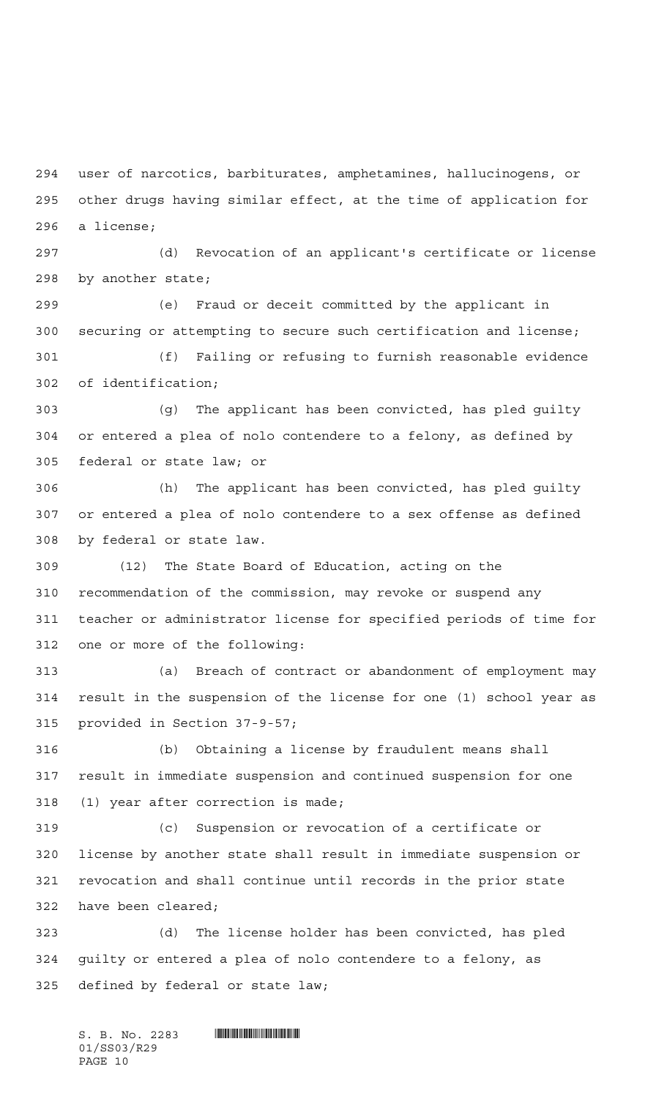user of narcotics, barbiturates, amphetamines, hallucinogens, or other drugs having similar effect, at the time of application for a license;

 (d) Revocation of an applicant's certificate or license by another state;

 (e) Fraud or deceit committed by the applicant in securing or attempting to secure such certification and license;

 (f) Failing or refusing to furnish reasonable evidence of identification;

 (g) The applicant has been convicted, has pled guilty or entered a plea of nolo contendere to a felony, as defined by federal or state law; or

 (h) The applicant has been convicted, has pled guilty or entered a plea of nolo contendere to a sex offense as defined by federal or state law.

 (12) The State Board of Education, acting on the recommendation of the commission, may revoke or suspend any teacher or administrator license for specified periods of time for one or more of the following:

 (a) Breach of contract or abandonment of employment may result in the suspension of the license for one (1) school year as provided in Section 37-9-57;

 (b) Obtaining a license by fraudulent means shall result in immediate suspension and continued suspension for one (1) year after correction is made;

 (c) Suspension or revocation of a certificate or license by another state shall result in immediate suspension or revocation and shall continue until records in the prior state have been cleared;

 (d) The license holder has been convicted, has pled guilty or entered a plea of nolo contendere to a felony, as defined by federal or state law;

 $S. B. No. 2283$  . The set of  $S. B. N_{\odot}$  is the set of  $S. B. N_{\odot}$ 01/SS03/R29 PAGE 10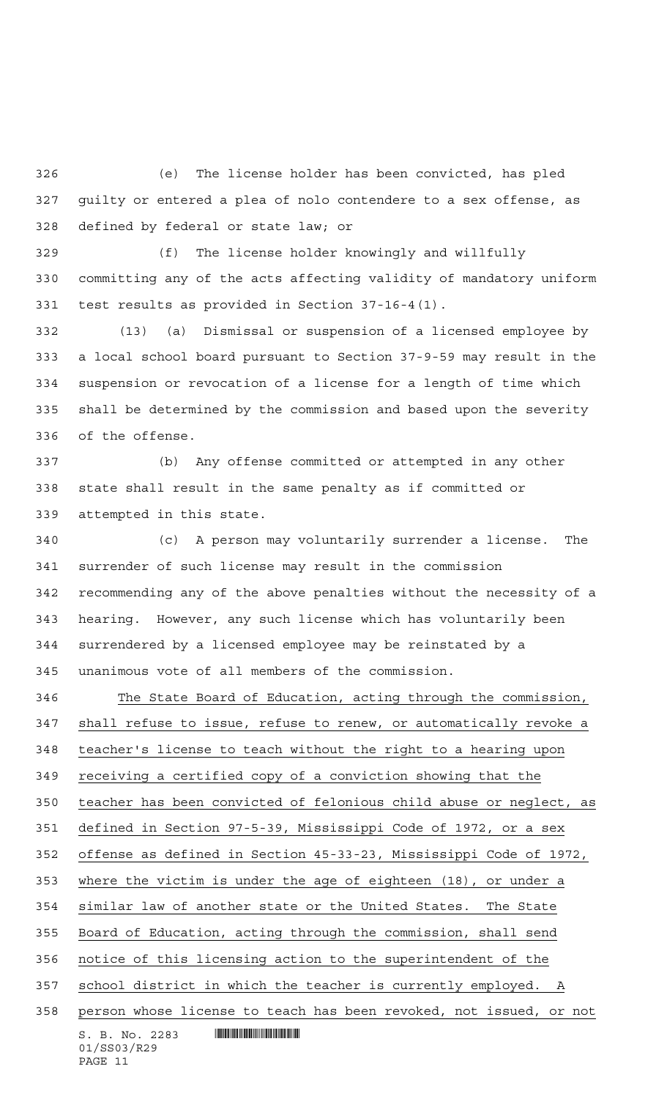(e) The license holder has been convicted, has pled guilty or entered a plea of nolo contendere to a sex offense, as defined by federal or state law; or

 (f) The license holder knowingly and willfully committing any of the acts affecting validity of mandatory uniform test results as provided in Section 37-16-4(1).

 (13) (a) Dismissal or suspension of a licensed employee by a local school board pursuant to Section 37-9-59 may result in the suspension or revocation of a license for a length of time which shall be determined by the commission and based upon the severity of the offense.

 (b) Any offense committed or attempted in any other state shall result in the same penalty as if committed or attempted in this state.

 (c) A person may voluntarily surrender a license. The surrender of such license may result in the commission recommending any of the above penalties without the necessity of a hearing. However, any such license which has voluntarily been surrendered by a licensed employee may be reinstated by a unanimous vote of all members of the commission.

 $S. B. No. 2283$  . The set of  $S. B. N_O.$  The State Board of Education, acting through the commission, shall refuse to issue, refuse to renew, or automatically revoke a teacher's license to teach without the right to a hearing upon receiving a certified copy of a conviction showing that the teacher has been convicted of felonious child abuse or neglect, as defined in Section 97-5-39, Mississippi Code of 1972, or a sex offense as defined in Section 45-33-23, Mississippi Code of 1972, where the victim is under the age of eighteen (18), or under a similar law of another state or the United States. The State Board of Education, acting through the commission, shall send notice of this licensing action to the superintendent of the school district in which the teacher is currently employed. A person whose license to teach has been revoked, not issued, or not

```
01/SS03/R29
PAGE 11
```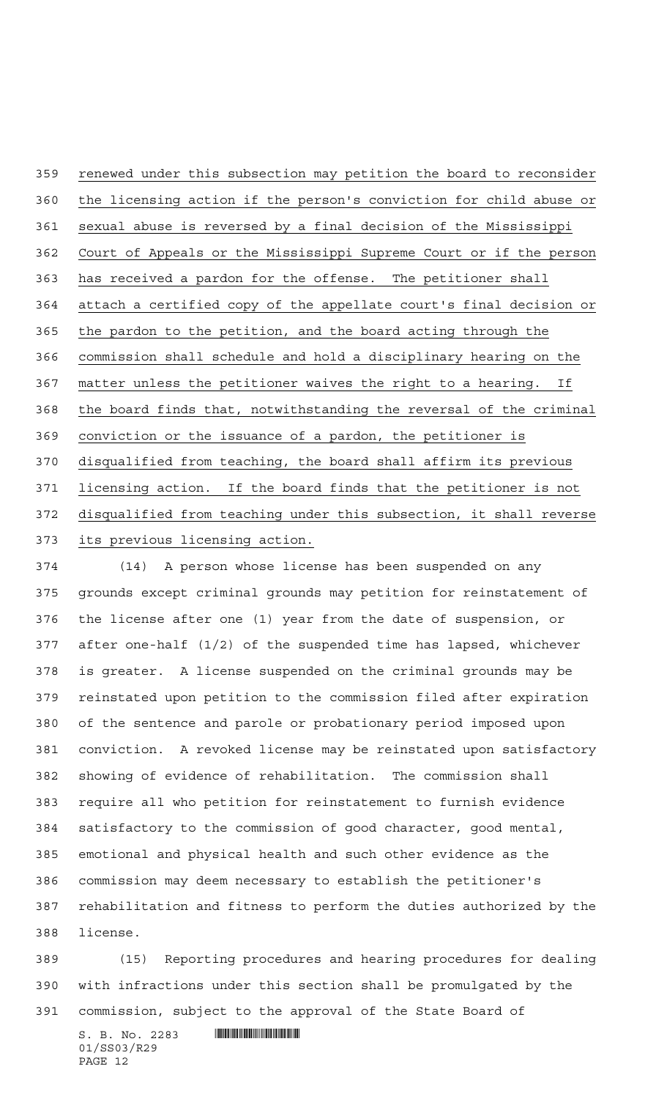renewed under this subsection may petition the board to reconsider the licensing action if the person's conviction for child abuse or sexual abuse is reversed by a final decision of the Mississippi Court of Appeals or the Mississippi Supreme Court or if the person has received a pardon for the offense. The petitioner shall attach a certified copy of the appellate court's final decision or the pardon to the petition, and the board acting through the commission shall schedule and hold a disciplinary hearing on the matter unless the petitioner waives the right to a hearing. If the board finds that, notwithstanding the reversal of the criminal conviction or the issuance of a pardon, the petitioner is disqualified from teaching, the board shall affirm its previous licensing action. If the board finds that the petitioner is not disqualified from teaching under this subsection, it shall reverse its previous licensing action.

 (14) A person whose license has been suspended on any grounds except criminal grounds may petition for reinstatement of the license after one (1) year from the date of suspension, or after one-half (1/2) of the suspended time has lapsed, whichever is greater. A license suspended on the criminal grounds may be reinstated upon petition to the commission filed after expiration of the sentence and parole or probationary period imposed upon conviction. A revoked license may be reinstated upon satisfactory showing of evidence of rehabilitation. The commission shall require all who petition for reinstatement to furnish evidence satisfactory to the commission of good character, good mental, emotional and physical health and such other evidence as the commission may deem necessary to establish the petitioner's rehabilitation and fitness to perform the duties authorized by the license.

 (15) Reporting procedures and hearing procedures for dealing with infractions under this section shall be promulgated by the commission, subject to the approval of the State Board of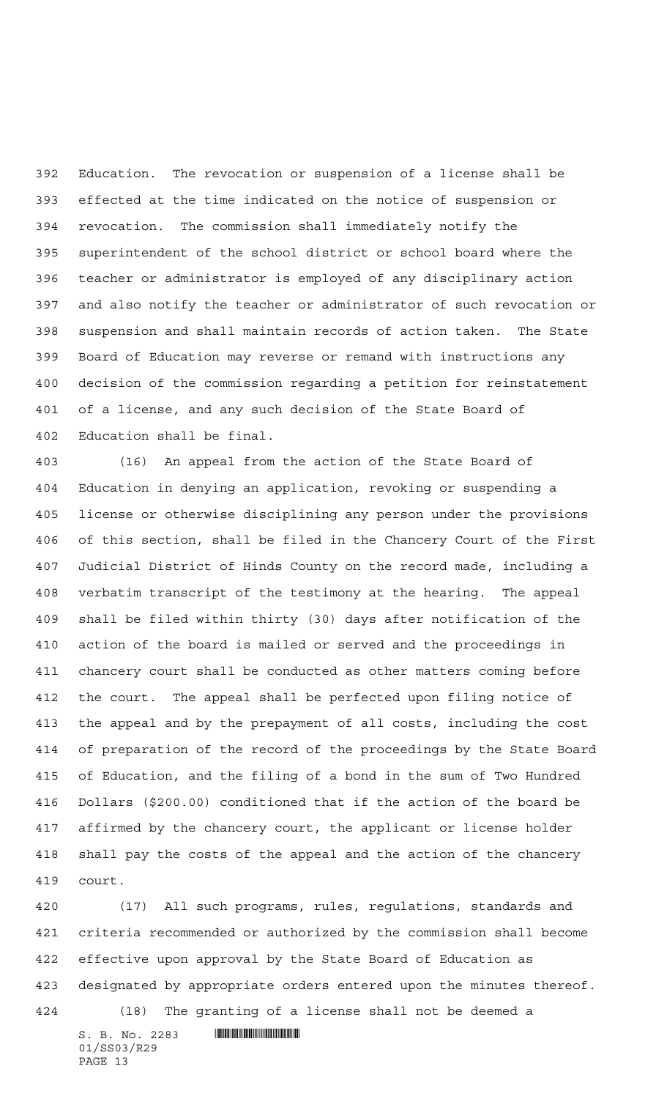Education. The revocation or suspension of a license shall be effected at the time indicated on the notice of suspension or revocation. The commission shall immediately notify the superintendent of the school district or school board where the teacher or administrator is employed of any disciplinary action and also notify the teacher or administrator of such revocation or suspension and shall maintain records of action taken. The State Board of Education may reverse or remand with instructions any decision of the commission regarding a petition for reinstatement of a license, and any such decision of the State Board of Education shall be final.

 (16) An appeal from the action of the State Board of Education in denying an application, revoking or suspending a license or otherwise disciplining any person under the provisions of this section, shall be filed in the Chancery Court of the First Judicial District of Hinds County on the record made, including a verbatim transcript of the testimony at the hearing. The appeal shall be filed within thirty (30) days after notification of the action of the board is mailed or served and the proceedings in chancery court shall be conducted as other matters coming before the court. The appeal shall be perfected upon filing notice of the appeal and by the prepayment of all costs, including the cost of preparation of the record of the proceedings by the State Board of Education, and the filing of a bond in the sum of Two Hundred Dollars (\$200.00) conditioned that if the action of the board be affirmed by the chancery court, the applicant or license holder shall pay the costs of the appeal and the action of the chancery court.

 (17) All such programs, rules, regulations, standards and criteria recommended or authorized by the commission shall become effective upon approval by the State Board of Education as designated by appropriate orders entered upon the minutes thereof. (18) The granting of a license shall not be deemed a